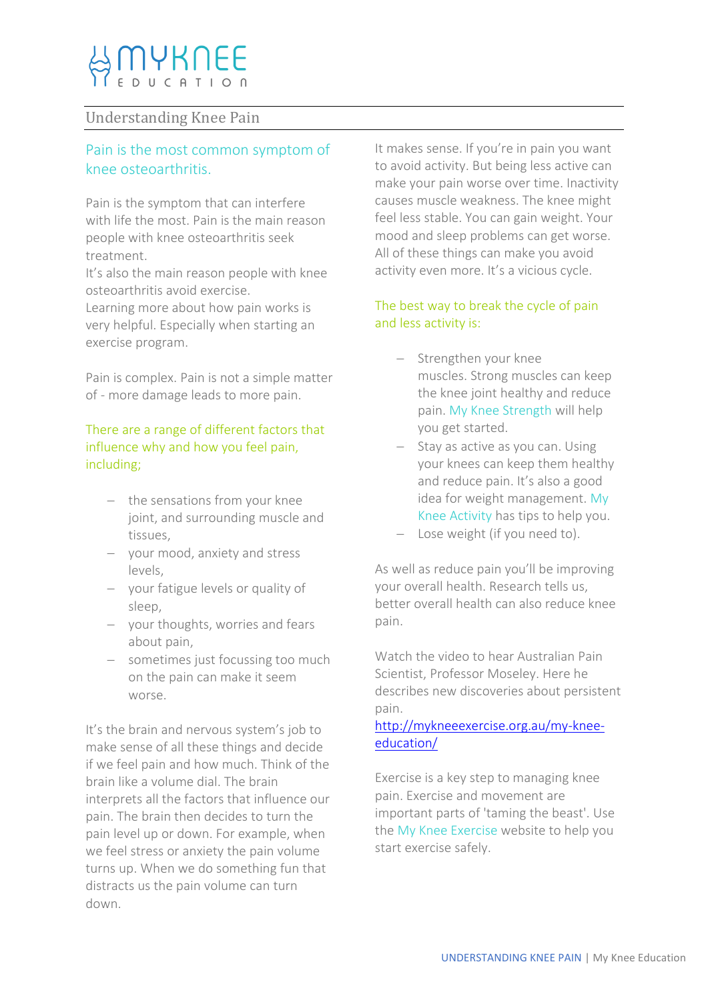# Understanding Knee Pain

# Pain is the most common symptom of knee osteoarthritis.

Pain is the symptom that can interfere with life the most. Pain is the main reason people with knee osteoarthritis seek treatment.

It's also the main reason people with knee osteoarthritis avoid exercise.

Learning more about how pain works is very helpful. Especially when starting an exercise program.

Pain is complex. Pain is not a simple matter of - more damage leads to more pain.

## There are a range of different factors that influence why and how you feel pain, including;

- $-$  the sensations from your knee joint, and surrounding muscle and tissues,
- vour mood, anxiety and stress levels,
- your fatigue levels or quality of sleep,
- your thoughts, worries and fears about pain,
- sometimes just focussing too much on the pain can make it seem worse.

It's the brain and nervous system's job to make sense of all these things and decide if we feel pain and how much. Think of the brain like a volume dial. The brain interprets all the factors that influence our pain. The brain then decides to turn the pain level up or down. For example, when we feel stress or anxiety the pain volume turns up. When we do something fun that distracts us the pain volume can turn down.

It makes sense. If you're in pain you want to avoid activity. But being less active can make your pain worse over time. Inactivity causes muscle weakness. The knee might feel less stable. You can gain weight. Your mood and sleep problems can get worse. All of these things can make you avoid activity even more. It's a vicious cycle.

# The best way to break the cycle of pain and less activity is:

- Strengthen your knee muscles. Strong muscles can keep the knee joint healthy and reduce pain. My Knee Strength will help you get started.
- $-$  Stay as active as you can. Using your knees can keep them healthy and reduce pain. It's also a good idea for weight management. My Knee Activity has tips to help you.
- Lose weight (if you need to).

As well as reduce pain you'll be improving your overall health. Research tells us, better overall health can also reduce knee pain.

Watch the video to hear Australian Pain Scientist, Professor Moseley. Here he describes new discoveries about persistent pain.

# [http://mykneeexercise.org.au/my-knee](http://mykneeexercise.org.au/my-knee-education/)[education/](http://mykneeexercise.org.au/my-knee-education/)

Exercise is a key step to managing knee pain. Exercise and movement are important parts of 'taming the beast'. Use the My Knee Exercise website to help you start exercise safely.